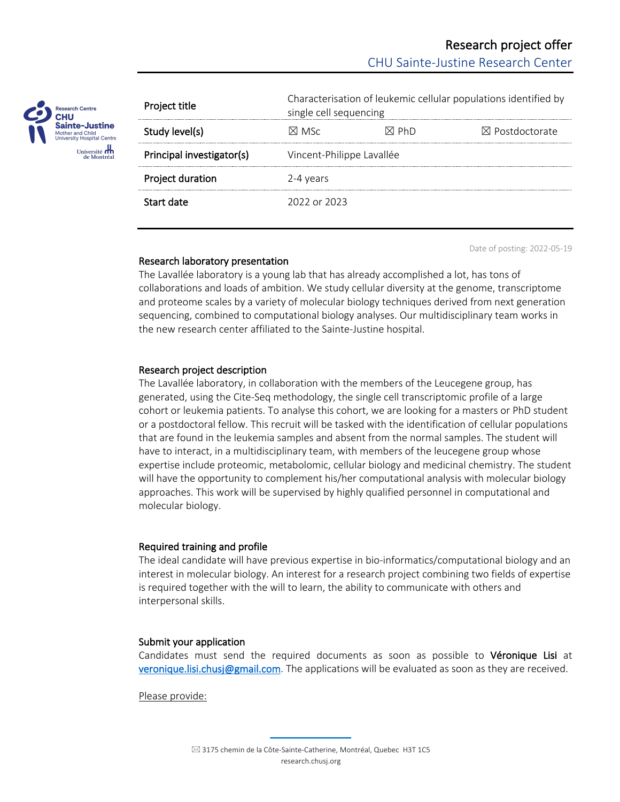

| Project title             | Characterisation of leukemic cellular populations identified by<br>single cell sequencing |                 |                           |
|---------------------------|-------------------------------------------------------------------------------------------|-----------------|---------------------------|
| Study level(s)            | XI MSc                                                                                    | $\boxtimes$ PhD | $\boxtimes$ Postdoctorate |
| Principal investigator(s) | Vincent-Philippe Lavallée                                                                 |                 |                           |
| Project duration          | 2-4 years                                                                                 |                 |                           |
| Start date                | 2022 or 2023                                                                              |                 |                           |

Date of posting: 2022-05-19

### Research laboratory presentation

The Lavallée laboratory is a young lab that has already accomplished a lot, has tons of collaborations and loads of ambition. We study cellular diversity at the genome, transcriptome and proteome scales by a variety of molecular biology techniques derived from next generation sequencing, combined to computational biology analyses. Our multidisciplinary team works in the new research center affiliated to the Sainte-Justine hospital.

### Research project description

The Lavallée laboratory, in collaboration with the members of the Leucegene group, has generated, using the Cite-Seq methodology, the single cell transcriptomic profile of a large cohort or leukemia patients. To analyse this cohort, we are looking for a masters or PhD student or a postdoctoral fellow. This recruit will be tasked with the identification of cellular populations that are found in the leukemia samples and absent from the normal samples. The student will have to interact, in a multidisciplinary team, with members of the leucegene group whose expertise include proteomic, metabolomic, cellular biology and medicinal chemistry. The student will have the opportunity to complement his/her computational analysis with molecular biology approaches. This work will be supervised by highly qualified personnel in computational and molecular biology.

# Required training and profile

The ideal candidate will have previous expertise in bio-informatics/computational biology and an interest in molecular biology. An interest for a research project combining two fields of expertise is required together with the will to learn, the ability to communicate with others and interpersonal skills.

# Submit your application

Candidates must send the required documents as soon as possible to Véronique Lisi at veronique.lisi.chusj@gmail.com. The applications will be evaluated as soon as they are received.

Please provide: